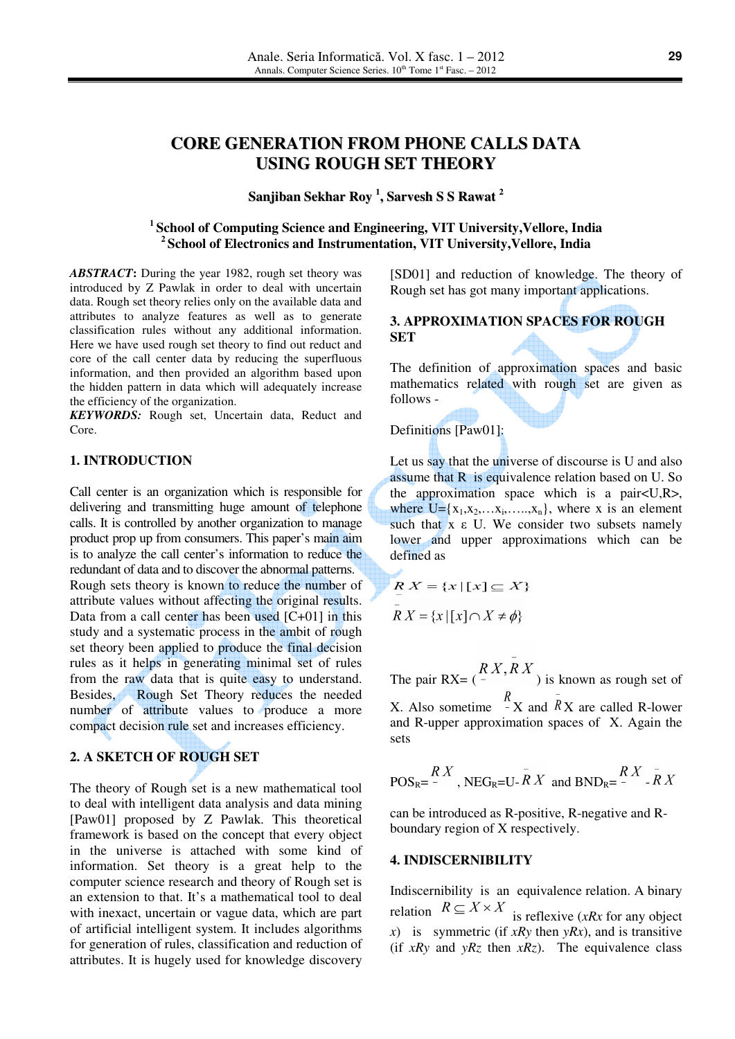# **CORE GENERATION FROM PHONE CALLS DATA USING ROUGH SET THEORY**

**Sanjiban Sekhar Roy 1 , Sarvesh S S Rawat 2**

# **<sup>1</sup>School of Computing Science and Engineering, VIT University,Vellore, India <sup>2</sup>School of Electronics and Instrumentation, VIT University,Vellore, India**

*ABSTRACT***:** During the year 1982, rough set theory was introduced by Z Pawlak in order to deal with uncertain data. Rough set theory relies only on the available data and attributes to analyze features as well as to generate classification rules without any additional information. Here we have used rough set theory to find out reduct and core of the call center data by reducing the superfluous information, and then provided an algorithm based upon the hidden pattern in data which will adequately increase the efficiency of the organization.

*KEYWORDS:* Rough set, Uncertain data, Reduct and Core.

#### **1. INTRODUCTION**

Call center is an organization which is responsible for delivering and transmitting huge amount of telephone calls. It is controlled by another organization to manage product prop up from consumers. This paper's main aim is to analyze the call center's information to reduce the redundant of data and to discover the abnormal patterns. Rough sets theory is known to reduce the number of attribute values without affecting the original results. Data from a call center has been used [C+01] in this study and a systematic process in the ambit of rough set theory been applied to produce the final decision rules as it helps in generating minimal set of rules from the raw data that is quite easy to understand. Besides, Rough Set Theory reduces the needed number of attribute values to produce a more compact decision rule set and increases efficiency.

## **2. A SKETCH OF ROUGH SET**

The theory of Rough set is a new mathematical tool to deal with intelligent data analysis and data mining [Paw01] proposed by Z Pawlak. This theoretical framework is based on the concept that every object in the universe is attached with some kind of information. Set theory is a great help to the computer science research and theory of Rough set is an extension to that. It's a mathematical tool to deal with inexact, uncertain or vague data, which are part of artificial intelligent system. It includes algorithms for generation of rules, classification and reduction of attributes. It is hugely used for knowledge discovery

[SD01] and reduction of knowledge. The theory of Rough set has got many important applications.

## **3. APPROXIMATION SPACES FOR ROUGH SET**

The definition of approximation spaces and basic mathematics related with rough set are given as follows -

Definitions [Paw01]:

Let us say that the universe of discourse is U and also assume that R is equivalence relation based on U. So the approximation space which is a pair<U,R>, where  $U = \{x_1, x_2, \ldots, x_i, \ldots, x_n\}$ , where x is an element such that  $x \in U$ . We consider two subsets namely lower and upper approximations which can be defined as

$$
RX = \{x \mid [x] \subseteq X\}
$$
  
=  

$$
RX = \{x \mid [x] \cap X \neq \phi\}
$$

The pair RX=  $(RX, RX)$  is known as rough set of X. Also sometime  $\overrightarrow{R}$  and  $\overrightarrow{R}$  are called R-lower and R-upper approximation spaces of X. Again the sets

$$
POS_{R}=\frac{RX}{}
$$
, 
$$
NEG_{R}=U-RX
$$
 and 
$$
BND_{R}=\frac{RX}{}
$$
. 
$$
RX
$$

can be introduced as R-positive, R-negative and Rboundary region of X respectively.

## **4. INDISCERNIBILITY**

Indiscernibility is an equivalence relation. A binary relation  $R \subseteq X \times X$  is reflexive (*xRx* for any object *x*) is symmetric (if *xRy* then *yRx*), and is transitive (if *xRy* and *yRz* then *xRz*). The equivalence class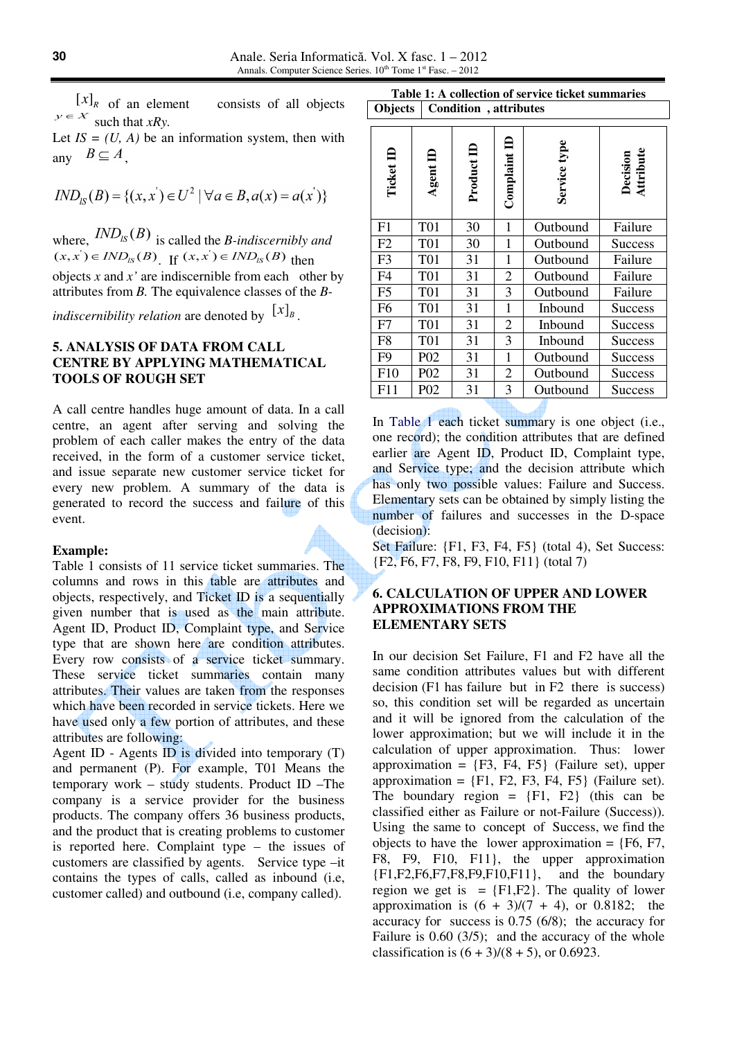$[x]_R$  of an element consists of all objects  $y \in X$  such that *xRy*.

Let  $IS = (U, A)$  be an information system, then with any  $B \subseteq A$ .

$$
IND_{IS}(B) = \{(x, x^{'}) \in U^{2} \mid \forall a \in B, a(x) = a(x^{'})\}
$$

where,  $\frac{IND_{IS}(B)}{B}$  is called the *B*-indiscernibly and  $(x, x') \in IND_{IS}(B)$  If  $(x, x') \in IND_{IS}(B)$  then objects  $x$  and  $x'$  are indiscernible from each other by attributes from *B.* The equivalence classes of the *B-*

*indiscernibility relation* are denoted by  $\left[x\right]_B$ .

## **5. ANALYSIS OF DATA FROM CALL CENTRE BY APPLYING MATHEMATICAL TOOLS OF ROUGH SET**

A call centre handles huge amount of data. In a call centre, an agent after serving and solving the problem of each caller makes the entry of the data received, in the form of a customer service ticket, and issue separate new customer service ticket for every new problem. A summary of the data is generated to record the success and failure of this event.

#### **Example:**

Table 1 consists of 11 service ticket summaries. The columns and rows in this table are attributes and objects, respectively, and Ticket ID is a sequentially given number that is used as the main attribute. Agent ID, Product ID, Complaint type, and Service type that are shown here are condition attributes. Every row consists of a service ticket summary. These service ticket summaries contain many attributes. Their values are taken from the responses which have been recorded in service tickets. Here we have used only a few portion of attributes, and these attributes are following:

Agent ID - Agents ID is divided into temporary (T) and permanent (P). For example, T01 Means the temporary work – study students. Product ID –The company is a service provider for the business products. The company offers 36 business products, and the product that is creating problems to customer is reported here. Complaint type – the issues of customers are classified by agents. Service type –it contains the types of calls, called as inbound (i.e, customer called) and outbound (i.e, company called).

| Table 1: A collection of service ticket summaries |                                 |  |  |  |
|---------------------------------------------------|---------------------------------|--|--|--|
|                                                   | Objects   Condition, attributes |  |  |  |

| Ticket ID      | ≘<br>Agent       | Product ID | Complaint ID   | Service type | Attribute<br>Decision |
|----------------|------------------|------------|----------------|--------------|-----------------------|
| F1             | <b>T01</b>       | 30         | 1              | Outbound     | Failure               |
| F2             | <b>T01</b>       | 30         | 1              | Outbound     | Success               |
| F <sub>3</sub> | <b>T01</b>       | 31         | 1              | Outbound     | Failure               |
| F4             | <b>T01</b>       | 31         | $\overline{2}$ | Outbound     | Failure               |
| F <sub>5</sub> | <b>T01</b>       | 31         | 3              | Outbound     | Failure               |
| F <sub>6</sub> | <b>T01</b>       | 31         | $\mathbf{1}$   | Inbound      | <b>Success</b>        |
| F7             | <b>T01</b>       | 31         | 2              | Inbound      | Success               |
| F <sub>8</sub> | <b>T01</b>       | 31         | 3              | Inbound      | <b>Success</b>        |
| F <sub>9</sub> | P <sub>0</sub> 2 | 31         | 1              | Outbound     | Success               |
| F10            | P <sub>02</sub>  | 31         | 2              | Outbound     | Success               |
| F11            | P <sub>0</sub> 2 | 31         | 3              | Outbound     | Success               |
|                |                  |            |                |              |                       |

In Table 1 each ticket summary is one object (i.e., one record); the condition attributes that are defined earlier are Agent ID, Product ID, Complaint type, and Service type; and the decision attribute which has only two possible values: Failure and Success. Elementary sets can be obtained by simply listing the number of failures and successes in the D-space (decision):

Set Failure: {F1, F3, F4, F5} (total 4), Set Success: {F2, F6, F7, F8, F9, F10, F11} (total 7)

## **6. CALCULATION OF UPPER AND LOWER APPROXIMATIONS FROM THE ELEMENTARY SETS**

In our decision Set Failure, F1 and F2 have all the same condition attributes values but with different decision (F1 has failure but in F2 there is success) so, this condition set will be regarded as uncertain and it will be ignored from the calculation of the lower approximation; but we will include it in the calculation of upper approximation. Thus: lower approximation  $=$  {F3, F4, F5} (Failure set), upper approximation =  ${F1, F2, F3, F4, F5}$  (Failure set). The boundary region  $=$  {F1, F2} (this can be classified either as Failure or not-Failure (Success)). Using the same to concept of Success, we find the objects to have the lower approximation  $=$  {F6, F7, F8, F9, F10, F11}, the upper approximation {F1,F2,F6,F7,F8,F9,F10,F11}, and the boundary region we get is  $=$  {F1,F2}. The quality of lower approximation is  $(6 + 3)/(7 + 4)$ , or 0.8182; the accuracy for success is 0.75 (6/8); the accuracy for Failure is 0.60 (3/5); and the accuracy of the whole classification is  $(6 + 3)/(8 + 5)$ , or 0.6923.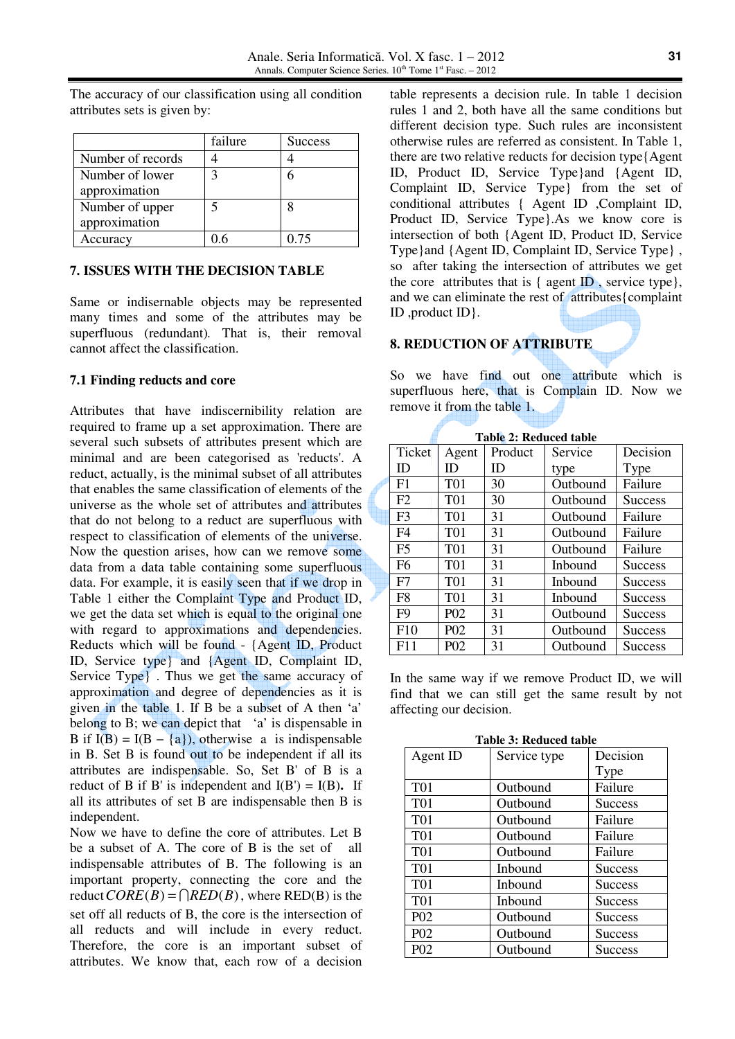The accuracy of our classification using all condition attributes sets is given by:

|                   | failure | Success |
|-------------------|---------|---------|
| Number of records |         |         |
| Number of lower   | 3       |         |
| approximation     |         |         |
| Number of upper   |         |         |
| approximation     |         |         |
| Accuracy          |         | 0 75    |

#### **7. ISSUES WITH THE DECISION TABLE**

Same or indisernable objects may be represented many times and some of the attributes may be superfluous (redundant)*.* That is, their removal cannot affect the classification.

#### **7.1 Finding reducts and core**

Attributes that have indiscernibility relation are required to frame up a set approximation. There are several such subsets of attributes present which are minimal and are been categorised as 'reducts'. A reduct, actually, is the minimal subset of all attributes that enables the same classification of elements of the universe as the whole set of attributes and attributes that do not belong to a reduct are superfluous with respect to classification of elements of the universe. Now the question arises, how can we remove some data from a data table containing some superfluous data. For example, it is easily seen that if we drop in Table 1 either the Complaint Type and Product ID, we get the data set which is equal to the original one with regard to approximations and dependencies. Reducts which will be found - {Agent ID, Product ID, Service type} and {Agent ID, Complaint ID, Service Type} . Thus we get the same accuracy of approximation and degree of dependencies as it is given in the table 1. If B be a subset of A then 'a' belong to B; we can depict that 'a' is dispensable in B if  $I(B) = I(B - \{a\})$ , otherwise a is indispensable in B. Set B is found out to be independent if all its attributes are indispensable. So, Set B' of B is a reduct of B if B' is independent and  $I(B') = I(B)$ . If all its attributes of set B are indispensable then B is independent.

Now we have to define the core of attributes. Let B be a subset of A. The core of B is the set of all indispensable attributes of B. The following is an important property, connecting the core and the reduct  $CORE(B) = \bigcap RED(B)$ , where RED(B) is the set off all reducts of B, the core is the intersection of all reducts and will include in every reduct. Therefore, the core is an important subset of attributes. We know that, each row of a decision

table represents a decision rule. In table 1 decision rules 1 and 2, both have all the same conditions but different decision type. Such rules are inconsistent otherwise rules are referred as consistent. In Table 1, there are two relative reducts for decision type{Agent ID, Product ID, Service Type}and {Agent ID, Complaint ID, Service Type} from the set of conditional attributes { Agent ID ,Complaint ID, Product ID, Service Type}.As we know core is intersection of both {Agent ID, Product ID, Service Type}and {Agent ID, Complaint ID, Service Type} , so after taking the intersection of attributes we get the core attributes that is  $\{$  agent  $ID$ , service type $\},$ and we can eliminate the rest of attributes{complaint ID ,product ID}.

# **8. REDUCTION OF ATTRIBUTE**

So we have find out one attribute which is superfluous here, that is Complain ID. Now we remove it from the table 1.

| Ticket         | Agent            | Product | Service  | Decision       |
|----------------|------------------|---------|----------|----------------|
| ID             | ID               | ID      | type     | Type           |
| F1             | <b>T01</b>       | 30      | Outbound | Failure        |
| F2             | T <sub>01</sub>  | 30      | Outbound | <b>Success</b> |
| F <sub>3</sub> | T <sub>01</sub>  | 31      | Outbound | Failure        |
| F <sub>4</sub> | T <sub>01</sub>  | 31      | Outbound | Failure        |
| F <sub>5</sub> | T <sub>01</sub>  | 31      | Outbound | Failure        |
| F <sub>6</sub> | T <sub>01</sub>  | 31      | Inbound  | <b>Success</b> |
| F7             | T <sub>01</sub>  | 31      | Inbound  | <b>Success</b> |
| F <sub>8</sub> | <b>T01</b>       | 31      | Inbound  | <b>Success</b> |
| F <sub>9</sub> | P <sub>0</sub> 2 | 31      | Outbound | <b>Success</b> |
| F10            | P <sub>0</sub> 2 | 31      | Outbound | <b>Success</b> |
| F11            | P <sub>0</sub> 2 | 31      | Outbound | <b>Success</b> |

**Table 2: Reduced table**

In the same way if we remove Product ID, we will find that we can still get the same result by not affecting our decision.

**Table 3: Reduced table**

| Agent ID         | Service type | Decision       |
|------------------|--------------|----------------|
|                  |              | Type           |
| T <sub>0</sub> 1 | Outbound     | Failure        |
| T <sub>0</sub> 1 | Outbound     | <b>Success</b> |
| T <sub>0</sub> 1 | Outbound     | Failure        |
| T <sub>0</sub> 1 | Outbound     | Failure        |
| <b>T01</b>       | Outbound     | Failure        |
| T <sub>0</sub> 1 | Inbound      | <b>Success</b> |
| T <sub>0</sub> 1 | Inbound      | <b>Success</b> |
| T <sub>0</sub> 1 | Inbound      | <b>Success</b> |
| P <sub>0</sub> 2 | Outbound     | <b>Success</b> |
| P <sub>0</sub> 2 | Outbound     | <b>Success</b> |
| P <sub>0</sub> 2 | Outbound     | <b>Success</b> |